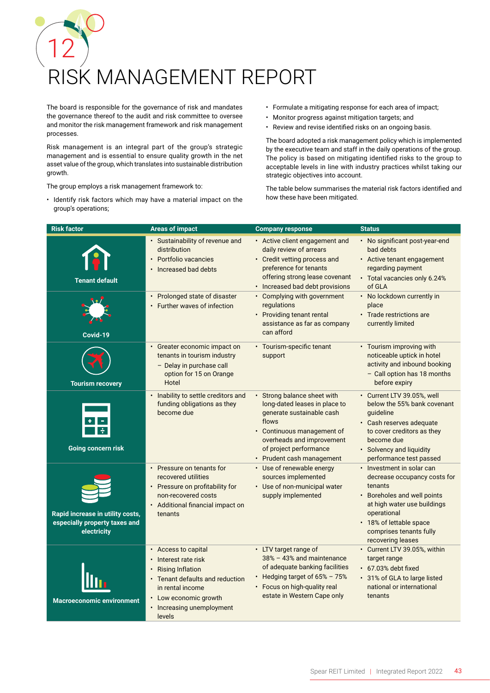## 12 RISK MANAGEMENT REPORT

The board is responsible for the governance of risk and mandates the governance thereof to the audit and risk committee to oversee and monitor the risk management framework and risk management processes.

Risk management is an integral part of the group's strategic management and is essential to ensure quality growth in the net asset value of the group, which translates into sustainable distribution growth.

The group employs a risk management framework to:

• Identify risk factors which may have a material impact on the group's operations;

- Formulate a mitigating response for each area of impact;
- Monitor progress against mitigation targets; and
- Review and revise identified risks on an ongoing basis.

The board adopted a risk management policy which is implemented by the executive team and staff in the daily operations of the group. The policy is based on mitigating identified risks to the group to acceptable levels in line with industry practices whilst taking our strategic objectives into account.

The table below summarises the material risk factors identified and how these have been mitigated.

| <b>Risk factor</b>                                                               | <b>Areas of impact</b>                                                                                                                                                                        | <b>Company response</b>                                                                                                                                                                                              | <b>Status</b>                                                                                                                                                                                                                |
|----------------------------------------------------------------------------------|-----------------------------------------------------------------------------------------------------------------------------------------------------------------------------------------------|----------------------------------------------------------------------------------------------------------------------------------------------------------------------------------------------------------------------|------------------------------------------------------------------------------------------------------------------------------------------------------------------------------------------------------------------------------|
| <b>Tenant default</b>                                                            | · Sustainability of revenue and<br>distribution<br>• Portfolio vacancies<br>· Increased bad debts                                                                                             | • Active client engagement and<br>daily review of arrears<br>• Credit vetting process and<br>preference for tenants<br>offering strong lease covenant<br>• Increased bad debt provisions                             | • No significant post-year-end<br>bad debts<br>• Active tenant engagement<br>regarding payment<br>• Total vacancies only 6.24%<br>of GLA                                                                                     |
| Covid-19                                                                         | • Prolonged state of disaster<br>• Further waves of infection                                                                                                                                 | • Complying with government<br>regulations<br>• Providing tenant rental<br>assistance as far as company<br>can afford                                                                                                | • No lockdown currently in<br>place<br>• Trade restrictions are<br>currently limited                                                                                                                                         |
| <b>Tourism recovery</b>                                                          | • Greater economic impact on<br>tenants in tourism industry<br>- Delay in purchase call<br>option for 15 on Orange<br>Hotel                                                                   | • Tourism-specific tenant<br>support                                                                                                                                                                                 | • Tourism improving with<br>noticeable uptick in hotel<br>activity and inbound booking<br>- Call option has 18 months<br>before expiry                                                                                       |
| <b>Going concern risk</b>                                                        | • Inability to settle creditors and<br>funding obligations as they<br>become due                                                                                                              | • Strong balance sheet with<br>long-dated leases in place to<br>generate sustainable cash<br>flows<br>• Continuous management of<br>overheads and improvement<br>of project performance<br>• Prudent cash management | • Current LTV 39.05%, well<br>below the 55% bank covenant<br>guideline<br>· Cash reserves adequate<br>to cover creditors as they<br>become due<br>• Solvency and liquidity<br>performance test passed                        |
| Rapid increase in utility costs,<br>especially property taxes and<br>electricity | • Pressure on tenants for<br>recovered utilities<br>• Pressure on profitability for<br>non-recovered costs<br>• Additional financial impact on<br>tenants                                     | • Use of renewable energy<br>sources implemented<br>• Use of non-municipal water<br>supply implemented                                                                                                               | • Investment in solar can<br>decrease occupancy costs for<br>tenants<br>• Boreholes and well points<br>at high water use buildings<br>operational<br>• 18% of lettable space<br>comprises tenants fully<br>recovering leases |
| <b>Macroeconomic environment</b>                                                 | • Access to capital<br>• Interest rate risk<br><b>Rising Inflation</b><br>• Tenant defaults and reduction<br>in rental income<br>• Low economic growth<br>• Increasing unemployment<br>levels | • LTV target range of<br>38% - 43% and maintenance<br>of adequate banking facilities<br>Hedging target of 65% - 75%<br>• Focus on high-quality real<br>estate in Western Cape only                                   | • Current LTV 39.05%, within<br>target range<br>• 67.03% debt fixed<br>• 31% of GLA to large listed<br>national or international<br>tenants                                                                                  |